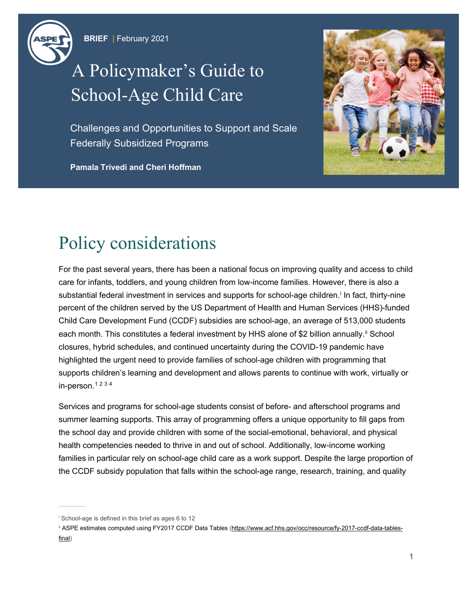

# A Policymaker's Guide to School-Age Child Care

Challenges and Opportunities to Support and Scale Federally Subsidized Programs

**Pamala Trivedi and Cheri Hoffman**



### Policy considerations

For the past several years, there has been a national focus on improving quality and access to child care for infants, toddlers, and young children from low-income families. However, there is also a substant[i](#page-0-0)al federal investment in services and supports for school-age children.<sup>i</sup> In fact, thirty-nine percent of the children served by the US Department of Health and Human Services (HHS)-funded Child Care Development Fund (CCDF) subsidies are school-age, an average of 513,000 students each month. This constitutes a federal investment by HHS alone of \$2 billion annually.<sup>[ii](#page-0-1)</sup> School closures, hybrid schedules, and continued uncertainty during the COVID-19 pandemic have highlighted the urgent need to provide families of school-age children with programming that supports children's learning and development and allows parents to continue with work, virtually or in-person. $1234$  $1234$  $1234$ 

Services and programs for school-age students consist of before- and afterschool programs and summer learning supports. This array of programming offers a unique opportunity to fill gaps from the school day and provide children with some of the social-emotional, behavioral, and physical health competencies needed to thrive in and out of school. Additionally, low-income working families in particular rely on school-age child care as a work support. Despite the large proportion of the CCDF subsidy population that falls within the school-age range, research, training, and quality

<span id="page-0-0"></span><sup>i</sup> School-age is defined in this brief as ages 6 to 12

<span id="page-0-1"></span>ii ASPE estimates computed using FY2017 CCDF Data Tables [\(https://www.acf.hhs.gov/occ/resource/fy-2017-ccdf-data-tables](https://www.acf.hhs.gov/occ/resource/fy-2017-ccdf-data-tables-final)[final\)](https://www.acf.hhs.gov/occ/resource/fy-2017-ccdf-data-tables-final)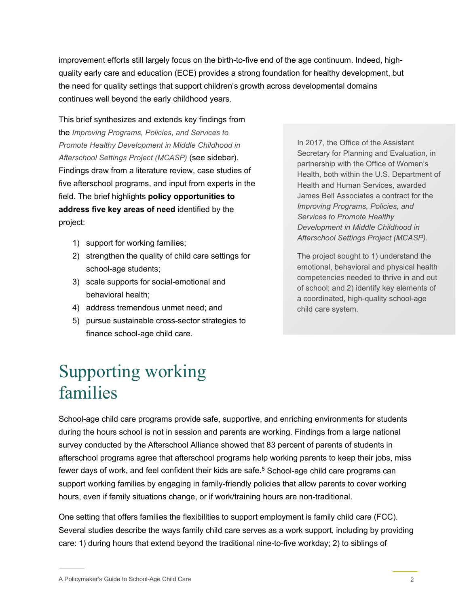improvement efforts still largely focus on the birth-to-five end of the age continuum. Indeed, highquality early care and education (ECE) provides a strong foundation for healthy development, but the need for quality settings that support children's growth across developmental domains continues well beyond the early childhood years.

This brief synthesizes and extends key findings from the *Improving Programs, Policies, and Services to Promote Healthy Development in Middle Childhood in Afterschool Settings Project (MCASP)* (see sidebar). Findings draw from a literature review, case studies of five afterschool programs, and input from experts in the field. The brief highlights **policy opportunities to address five key areas of need** identified by the project:

- 1) support for working families;
- 2) strengthen the quality of child care settings for school-age students;
- 3) scale supports for social-emotional and behavioral health;
- 4) address tremendous unmet need; and
- 5) pursue sustainable cross-sector strategies to finance school-age child care.

In 2017, the Office of the Assistant Secretary for Planning and Evaluation, in partnership with the Office of Women's Health, both within the U.S. Department of Health and Human Services, awarded James Bell Associates a contract for the *Improving Programs, Policies, and Services to Promote Healthy Development in Middle Childhood in Afterschool Settings Project (MCASP).*

The project sought to 1) understand the emotional, behavioral and physical health competencies needed to thrive in and out of school; and 2) identify key elements of a coordinated, high-quality school-age child care system.

### Supporting working families

School-age child care programs provide safe, supportive, and enriching environments for students during the hours school is not in session and parents are working. Findings from a large national survey conducted by the Afterschool Alliance showed that 83 percent of parents of students in afterschool programs agree that afterschool programs help working parents to keep their jobs, miss fewer days of work, and feel confident their kids are safe. [5](#page-7-4) School-age child care programs can support working families by engaging in family-friendly policies that allow parents to cover working hours, even if family situations change, or if work/training hours are non-traditional.

One setting that offers families the flexibilities to support employment is family child care (FCC). Several studies describe the ways family child care serves as a work support, including by providing care: 1) during hours that extend beyond the traditional nine-to-five workday; 2) to siblings of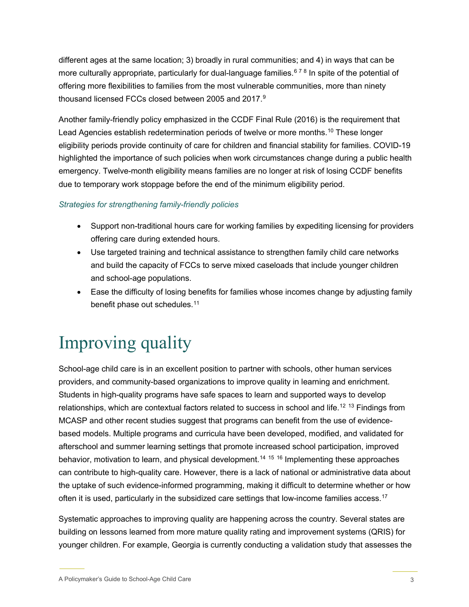different ages at the same location; 3) broadly in rural communities; and 4) in ways that can be more culturally appropriate, particularly for dual-language families.<sup>6[7](#page-7-6)[8](#page-7-7)</sup> In spite of the potential of offering more flexibilities to families from the most vulnerable communities, more than ninety thousand licensed FCCs closed between 2005 and 2017. $^9$  $^9$ 

Another family-friendly policy emphasized in the CCDF Final Rule (2016) is the requirement that Lead Agencies establish redetermination periods of twelve or more months.<sup>[10](#page-7-9)</sup> These longer eligibility periods provide continuity of care for children and financial stability for families. COVID-19 highlighted the importance of such policies when work circumstances change during a public health emergency. Twelve-month eligibility means families are no longer at risk of losing CCDF benefits due to temporary work stoppage before the end of the minimum eligibility period.

#### *Strategies for strengthening family-friendly policies*

- Support non-traditional hours care for working families by expediting licensing for providers offering care during extended hours.
- Use targeted training and technical assistance to strengthen family child care networks and build the capacity of FCCs to serve mixed caseloads that include younger children and school-age populations.
- Ease the difficulty of losing benefits for families whose incomes change by adjusting family benefit phase out schedules.<sup>[11](#page-7-10)</sup>

## Improving quality

School-age child care is in an excellent position to partner with schools, other human services providers, and community-based organizations to improve quality in learning and enrichment. Students in high-quality programs have safe spaces to learn and supported ways to develop relationships, which are contextual factors related to success in school and life.<sup>[12](#page-7-11) [13](#page-8-0)</sup> Findings from MCASP and other recent studies suggest that programs can benefit from the use of evidencebased models. Multiple programs and curricula have been developed, modified, and validated for afterschool and summer learning settings that promote increased school participation, improved behavior, motivation to learn, and physical development.<sup>[14](#page-8-1) [15](#page-8-2)</sup> <sup>[16](#page-8-3)</sup> Implementing these approaches can contribute to high-quality care. However, there is a lack of national or administrative data about the uptake of such evidence-informed programming, making it difficult to determine whether or how often it is used, particularly in the subsidized care settings that low-income families access. $^{\rm 17}$  $^{\rm 17}$  $^{\rm 17}$ 

Systematic approaches to improving quality are happening across the country. Several states are building on lessons learned from more mature quality rating and improvement systems (QRIS) for younger children. For example, Georgia is currently conducting a validation study that assesses the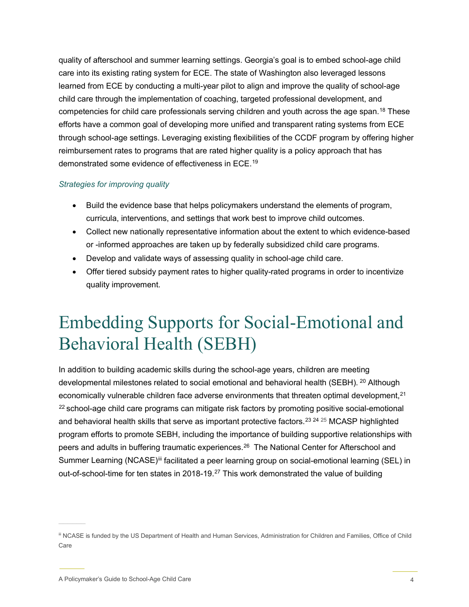quality of afterschool and summer learning settings. Georgia's goal is to embed school-age child care into its existing rating system for ECE. The state of Washington also leveraged lessons learned from ECE by conducting a multi-year pilot to align and improve the quality of school-age child care through the implementation of coaching, targeted professional development, and competencies for child care professionals serving children and youth across the age span. [18](#page-8-5) These efforts have a common goal of developing more unified and transparent rating systems from ECE through school-age settings. Leveraging existing flexibilities of the CCDF program by offering higher reimbursement rates to programs that are rated higher quality is a policy approach that has demonstrated some evidence of effectiveness in ECE. [19](#page-8-6)

#### *Strategies for improving quality*

- Build the evidence base that helps policymakers understand the elements of program, curricula, interventions, and settings that work best to improve child outcomes.
- Collect new nationally representative information about the extent to which evidence-based or -informed approaches are taken up by federally subsidized child care programs.
- Develop and validate ways of assessing quality in school-age child care.
- Offer tiered subsidy payment rates to higher quality-rated programs in order to incentivize quality improvement.

### Embedding Supports for Social-Emotional and Behavioral Health (SEBH)

In addition to building academic skills during the school-age years, children are meeting developmental milestones related to social emotional and behavioral health (SEBH). <sup>[20](#page-8-7)</sup> Although economically vulnerable children face adverse environments that threaten optimal development, $2<sup>1</sup>$  $22$  school-age child care programs can mitigate risk factors by promoting positive social-emotional and behavioral health skills that serve as important protective factors.<sup>[23](#page-8-10) [24](#page-8-11) [25](#page-8-12)</sup> MCASP highlighted program efforts to promote SEBH, including the importance of building supportive relationships with peers and adults in buffering traumatic experiences.<sup>26</sup> The National Center for Afterschool and Summer Learning (NCASE)<sup>[iii](#page-3-0)</sup> facilitated a peer learning group on social-emotional learning (SEL) in out-of-school-time for ten states in 2018-19.<sup>[27](#page-8-14)</sup> This work demonstrated the value of building

<span id="page-3-0"></span>iii NCASE is funded by the US Department of Health and Human Services, Administration for Children and Families, Office of Child Care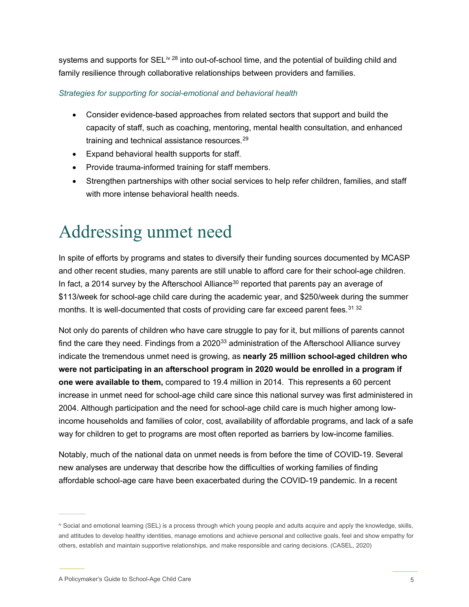systems and supports for SEL<sup>[iv](#page-4-0) [28](#page-9-0)</sup> into out-of-school time, and the potential of building child and family resilience through collaborative relationships between providers and families.

#### *Strategies for supporting for social-emotional and behavioral health*

- Consider evidence-based approaches from related sectors that support and build the capacity of staff, such as coaching, mentoring, mental health consultation, and enhanced training and technical assistance resources. [29](#page-9-1)
- Expand behavioral health supports for staff.
- Provide trauma-informed training for staff members.
- Strengthen partnerships with other social services to help refer children, families, and staff with more intense behavioral health needs.

### Addressing unmet need

In spite of efforts by programs and states to diversify their funding sources documented by MCASP and other recent studies, many parents are still unable to afford care for their school-age children. In fact, a 2014 survey by the Afterschool Alliance<sup>[30](#page-9-2)</sup> reported that parents pay an average of \$113/week for school-age child care during the academic year, and \$250/week during the summer months. It is well-documented that costs of providing care far exceed parent fees.<sup>[31](#page-9-3) [32](#page-9-4)</sup>

Not only do parents of children who have care struggle to pay for it, but millions of parents cannot find the care they need. Findings from a  $2020^{33}$  administration of the Afterschool Alliance survey indicate the tremendous unmet need is growing, as **nearly 25 million school-aged children who were not participating in an afterschool program in 2020 would be enrolled in a program if one were available to them,** compared to 19.4 million in 2014. This represents a 60 percent increase in unmet need for school-age child care since this national survey was first administered in 2004. Although participation and the need for school-age child care is much higher among lowincome households and families of color, cost, availability of affordable programs, and lack of a safe way for children to get to programs are most often reported as barriers by low-income families.

Notably, much of the national data on unmet needs is from before the time of COVID-19. Several new analyses are underway that describe how the difficulties of working families of finding affordable school-age care have been exacerbated during the COVID-19 pandemic. In a recent

<span id="page-4-0"></span>iv Social and emotional learning (SEL) is a process through which young people and adults acquire and apply the knowledge, skills, and attitudes to develop healthy identities, manage emotions and achieve personal and collective goals, feel and show empathy for others, establish and maintain supportive relationships, and make responsible and caring decisions. (CASEL, 2020)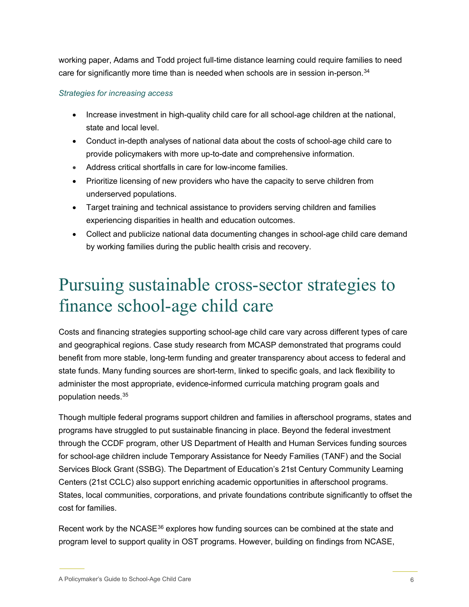working paper, Adams and Todd project full-time distance learning could require families to need care for significantly more time than is needed when schools are in session in-person.<sup>[34](#page-9-6)</sup>

#### *Strategies for increasing access*

- Increase investment in high-quality child care for all school-age children at the national, state and local level.
- Conduct in-depth analyses of national data about the costs of school-age child care to provide policymakers with more up-to-date and comprehensive information.
- Address critical shortfalls in care for low-income families.
- Prioritize licensing of new providers who have the capacity to serve children from underserved populations.
- Target training and technical assistance to providers serving children and families experiencing disparities in health and education outcomes.
- Collect and publicize national data documenting changes in school-age child care demand by working families during the public health crisis and recovery.

### Pursuing sustainable cross-sector strategies to finance school-age child care

Costs and financing strategies supporting school-age child care vary across different types of care and geographical regions. Case study research from MCASP demonstrated that programs could benefit from more stable, long-term funding and greater transparency about access to federal and state funds. Many funding sources are short-term, linked to specific goals, and lack flexibility to administer the most appropriate, evidence-informed curricula matching program goals and population needs.[35](#page-9-7)

Though multiple federal programs support children and families in afterschool programs, states and programs have struggled to put sustainable financing in place. Beyond the federal investment through the CCDF program, other US Department of Health and Human Services funding sources for school-age children include Temporary Assistance for Needy Families (TANF) and the Social Services Block Grant (SSBG). The Department of Education's 21st Century Community Learning Centers (21st CCLC) also support enriching academic opportunities in afterschool programs. States, local communities, corporations, and private foundations contribute significantly to offset the cost for families.

Recent work by the NCASE<sup>[36](#page-9-8)</sup> explores how funding sources can be combined at the state and program level to support quality in OST programs. However, building on findings from NCASE,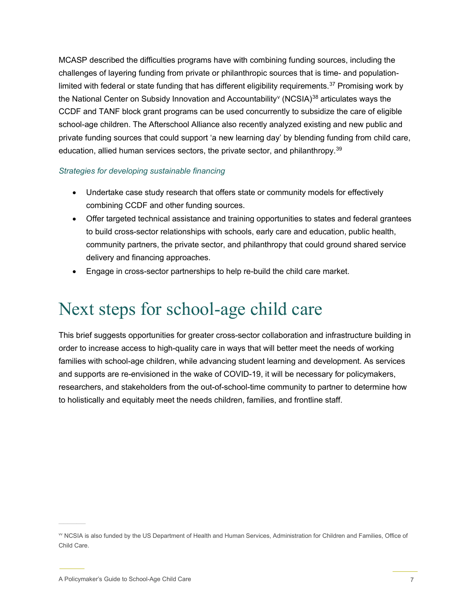MCASP described the difficulties programs have with combining funding sources, including the challenges of layering funding from private or philanthropic sources that is time- and population-limited with federal or state funding that has different eligibility requirements.<sup>[37](#page-9-9)</sup> Promising work by the National Center on Subsidy Inno[v](#page-6-0)ation and Accountability<sup>v</sup> (NCSIA)<sup>[38](#page-9-10)</sup> articulates ways the CCDF and TANF block grant programs can be used concurrently to subsidize the care of eligible school-age children. The Afterschool Alliance also recently analyzed existing and new public and private funding sources that could support 'a new learning day' by blending funding from child care, education, allied human services sectors, the private sector, and philanthropy.<sup>39</sup>

#### *Strategies for developing sustainable financing*

- Undertake case study research that offers state or community models for effectively combining CCDF and other funding sources.
- Offer targeted technical assistance and training opportunities to states and federal grantees to build cross-sector relationships with schools, early care and education, public health, community partners, the private sector, and philanthropy that could ground shared service delivery and financing approaches.
- Engage in cross-sector partnerships to help re-build the child care market.

### Next steps for school-age child care

This brief suggests opportunities for greater cross-sector collaboration and infrastructure building in order to increase access to high-quality care in ways that will better meet the needs of working families with school-age children, while advancing student learning and development. As services and supports are re-envisioned in the wake of COVID-19, it will be necessary for policymakers, researchers, and stakeholders from the out-of-school-time community to partner to determine how to holistically and equitably meet the needs children, families, and frontline staff.

<span id="page-6-0"></span>vv NCSIA is also funded by the US Department of Health and Human Services, Administration for Children and Families, Office of Child Care.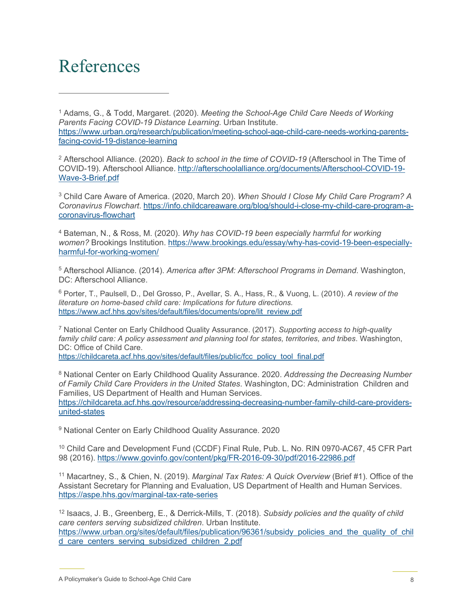### References

<span id="page-7-0"></span><sup>1</sup> Adams, G., & Todd, Margaret. (2020). *Meeting the School-Age Child Care Needs of Working Parents Facing COVID-19 Distance Learning.* Urban Institute. [https://www.urban.org/research/publication/meeting-school-age-child-care-needs-working-parents](https://www.urban.org/research/publication/meeting-school-age-child-care-needs-working-parents-facing-covid-19-distance-learning)[facing-covid-19-distance-learning](https://www.urban.org/research/publication/meeting-school-age-child-care-needs-working-parents-facing-covid-19-distance-learning)

<span id="page-7-1"></span><sup>2</sup> Afterschool Alliance. (2020). *Back to school in the time of COVID-19* (Afterschool in The Time of COVID-19). Afterschool Alliance. [http://afterschoolalliance.org/documents/Afterschool-COVID-19-](http://afterschoolalliance.org/documents/Afterschool-COVID-19-Wave-3-Brief.pdf) [Wave-3-Brief.pdf](http://afterschoolalliance.org/documents/Afterschool-COVID-19-Wave-3-Brief.pdf)

<span id="page-7-2"></span><sup>3</sup> Child Care Aware of America. (2020, March 20). *When Should I Close My Child Care Program? A Coronavirus Flowchart*. [https://info.childcareaware.org/blog/should-i-close-my-child-care-program-a](https://info.childcareaware.org/blog/should-i-close-my-child-care-program-a-coronavirus-flowchart)[coronavirus-flowchart](https://info.childcareaware.org/blog/should-i-close-my-child-care-program-a-coronavirus-flowchart)

<span id="page-7-3"></span><sup>4</sup> Bateman, N., & Ross, M. (2020). *Why has COVID-19 been especially harmful for working women?* Brookings Institution. [https://www.brookings.edu/essay/why-has-covid-19-been-especially](https://www.brookings.edu/essay/why-has-covid-19-been-especially-harmful-for-working-women/)[harmful-for-working-women/](https://www.brookings.edu/essay/why-has-covid-19-been-especially-harmful-for-working-women/)

<span id="page-7-4"></span><sup>5</sup> Afterschool Alliance. (2014). *America after 3PM: Afterschool Programs in Demand*. Washington, DC: Afterschool Alliance.

<span id="page-7-5"></span><sup>6</sup> Porter, T., Paulsell, D., Del Grosso, P., Avellar, S. A., Hass, R., & Vuong, L. (2010). *A review of the literature on home-based child care: Implications for future directions.* [https://www.acf.hhs.gov/sites/default/files/documents/opre/lit\\_review.pdf](https://www.acf.hhs.gov/sites/default/files/documents/opre/lit_review.pdf)

<span id="page-7-6"></span><sup>7</sup> National Center on Early Childhood Quality Assurance. (2017). *Supporting access to high-quality family child care: A policy assessment and planning tool for states, territories, and tribes*. Washington, DC: Office of Child Care. [https://childcareta.acf.hhs.gov/sites/default/files/public/fcc\\_policy\\_tool\\_final.pdf](https://childcareta.acf.hhs.gov/sites/default/files/public/fcc_policy_tool_final.pdf)

<span id="page-7-7"></span><sup>8</sup> National Center on Early Childhood Quality Assurance. 2020. *Addressing the Decreasing Number of Family Child Care Providers in the United States*. Washington, DC: Administration Children and Families, US Department of Health and Human Services.

[https://childcareta.acf.hhs.gov/resource/addressing-decreasing-number-family-child-care-providers](https://childcareta.acf.hhs.gov/resource/addressing-decreasing-number-family-child-care-providers-united-states)[united-states](https://childcareta.acf.hhs.gov/resource/addressing-decreasing-number-family-child-care-providers-united-states)

<span id="page-7-8"></span><sup>9</sup> National Center on Early Childhood Quality Assurance. 2020

<span id="page-7-9"></span><sup>10</sup> Child Care and Development Fund (CCDF) Final Rule, Pub. L. No. RIN 0970-AC67, 45 CFR Part 98 (2016).<https://www.govinfo.gov/content/pkg/FR-2016-09-30/pdf/2016-22986.pdf>

<span id="page-7-10"></span><sup>11</sup> Macartney, S., & Chien, N. (2019). *Marginal Tax Rates: A Quick Overview* (Brief #1). Office of the Assistant Secretary for Planning and Evaluation, US Department of Health and Human Services. <https://aspe.hhs.gov/marginal-tax-rate-series>

<span id="page-7-11"></span><sup>12</sup> Isaacs, J. B., Greenberg, E., & Derrick-Mills, T. (2018). *Subsidy policies and the quality of child care centers serving subsidized children*. Urban Institute. [https://www.urban.org/sites/default/files/publication/96361/subsidy\\_policies\\_and\\_the\\_quality\\_of\\_chil](https://www.urban.org/sites/default/files/publication/96361/subsidy_policies_and_the_quality_of_child_care_centers_serving_subsidized_children_2.pdf) [d\\_care\\_centers\\_serving\\_subsidized\\_children\\_2.pdf](https://www.urban.org/sites/default/files/publication/96361/subsidy_policies_and_the_quality_of_child_care_centers_serving_subsidized_children_2.pdf)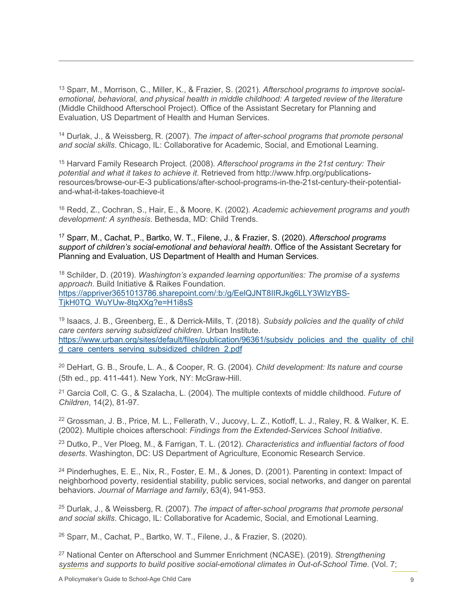<span id="page-8-0"></span><sup>13</sup> Sparr, M., Morrison, C., Miller, K., & Frazier, S. (2021). *Afterschool programs to improve socialemotional, behavioral, and physical health in middle childhood: A targeted review of the literature* (Middle Childhood Afterschool Project). Office of the Assistant Secretary for Planning and Evaluation, US Department of Health and Human Services.

<span id="page-8-1"></span><sup>14</sup> Durlak, J., & Weissberg, R. (2007). *The impact of after-school programs that promote personal and social skills*. Chicago, IL: Collaborative for Academic, Social, and Emotional Learning.

<span id="page-8-2"></span><sup>15</sup> Harvard Family Research Project. (2008). *Afterschool programs in the 21st century: Their potential and what it takes to achieve it*. Retrieved from http://www.hfrp.org/publicationsresources/browse-our-E-3 publications/after-school-programs-in-the-21st-century-their-potentialand-what-it-takes-toachieve-it

<span id="page-8-3"></span><sup>16</sup> Redd, Z., Cochran, S., Hair, E., & Moore, K. (2002). *Academic achievement programs and youth development: A synthesis*. Bethesda, MD: Child Trends.

<span id="page-8-4"></span><sup>17</sup> Sparr, M., Cachat, P., Bartko, W. T., Filene, J., & Frazier, S. (2020). *Afterschool programs support of children's social-emotional and behavioral health*. Office of the Assistant Secretary for Planning and Evaluation, US Department of Health and Human Services.

<span id="page-8-5"></span><sup>18</sup> Schilder, D. (2019). *Washington's expanded learning opportunities: The promise of a systems approach*. Build Initiative & Raikes Foundation. [https://appriver3651013786.sharepoint.com/:b:/g/EelQJNT8IIRJkg6LLY3WIzYBS-](https://appriver3651013786.sharepoint.com/:b:/g/EelQJNT8IIRJkg6LLY3WIzYBS-TjkH0TQ_WuYUw-8tqXXg?e=H1i8sS)[TjkH0TQ\\_WuYUw-8tqXXg?e=H1i8sS](https://appriver3651013786.sharepoint.com/:b:/g/EelQJNT8IIRJkg6LLY3WIzYBS-TjkH0TQ_WuYUw-8tqXXg?e=H1i8sS)

<span id="page-8-6"></span><sup>19</sup> Isaacs, J. B., Greenberg, E., & Derrick-Mills, T. (2018). *Subsidy policies and the quality of child care centers serving subsidized children*. Urban Institute. [https://www.urban.org/sites/default/files/publication/96361/subsidy\\_policies\\_and\\_the\\_quality\\_of\\_chil](https://www.urban.org/sites/default/files/publication/96361/subsidy_policies_and_the_quality_of_child_care_centers_serving_subsidized_children_2.pdf) [d\\_care\\_centers\\_serving\\_subsidized\\_children\\_2.pdf](https://www.urban.org/sites/default/files/publication/96361/subsidy_policies_and_the_quality_of_child_care_centers_serving_subsidized_children_2.pdf)

<span id="page-8-7"></span><sup>20</sup> DeHart, G. B., Sroufe, L. A., & Cooper, R. G. (2004). *Child development: Its nature and course* (5th ed., pp. 411-441). New York, NY: McGraw-Hill.

<span id="page-8-8"></span><sup>21</sup> Garcia Coll, C. G., & Szalacha, L. (2004). The multiple contexts of middle childhood. *Future of Children*, 14(2), 81-97.

<span id="page-8-9"></span><sup>22</sup> Grossman, J. B., Price, M. L., Fellerath, V., Jucovy, L. Z., Kotloff, L. J., Raley, R. & Walker, K. E. (2002). Multiple choices afterschool: *Findings from the Extended-Services School Initiative*.

<span id="page-8-10"></span><sup>23</sup> Dutko, P., Ver Ploeg, M., & Farrigan, T. L. (2012). *Characteristics and influential factors of food deserts*. Washington, DC: US Department of Agriculture, Economic Research Service.

<span id="page-8-11"></span><sup>24</sup> Pinderhughes, E. E., Nix, R., Foster, E. M., & Jones, D. (2001). Parenting in context: Impact of neighborhood poverty, residential stability, public services, social networks, and danger on parental behaviors. *Journal of Marriage and family*, 63(4), 941-953.

<span id="page-8-12"></span><sup>25</sup> Durlak, J., & Weissberg, R. (2007). *The impact of after-school programs that promote personal and social skills*. Chicago, IL: Collaborative for Academic, Social, and Emotional Learning.

<span id="page-8-13"></span><sup>26</sup> Sparr, M., Cachat, P., Bartko, W. T., Filene, J., & Frazier, S. (2020).

<span id="page-8-14"></span><sup>27</sup> National Center on Afterschool and Summer Enrichment (NCASE). (2019). *Strengthening systems and supports to build positive social-emotional climates in Out-of-School Time.* (Vol. 7;